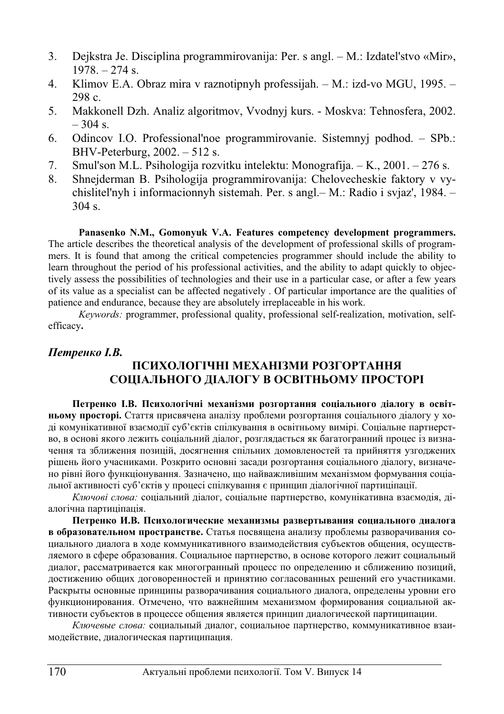- 3. Dejkstra Je. Disciplina programmirovanija: Per. s angl. M.: Izdatel'stvo «Mir», 1978. – 274 s.
- 4. Klimov E.A. Obraz mira v raznotipnyh professijah. M.: izd-vo MGU, 1995. 298 c.
- 5. Makkonell Dzh. Analiz algoritmov, Vvodnyj kurs. Moskva: Tehnosfera, 2002.  $-304$  s.
- 6. Odincov I.O. Professional'noe programmirovanie. Sistemnyj podhod. SPb.: BHV-Peterburg, 2002. – 512 s.
- 7. Smul'son M.L. Psihologija rozvitku intelektu: Monografija.  $-K<sub>1</sub>$ , 2001. 276 s.
- 8. Shnejderman B. Psihologija programmirovanija: Chelovecheskie faktory v vychislitel'nyh i informacionnyh sistemah. Per. s angl.– M.: Radio i svjaz', 1984. – 304 s.

#### **Panasenko N.M., Gomonyuk V.A. Features competency development programmers.**

The article describes the theoretical analysis of the development of professional skills of programmers. It is found that among the critical competencies programmer should include the ability to learn throughout the period of his professional activities, and the ability to adapt quickly to objectively assess the possibilities of technologies and their use in a particular case, or after a few years of its value as a specialist can be affected negatively . Of particular importance are the qualities of patience and endurance, because they are absolutely irreplaceable in his work.

*Keywords:* programmer, professional quality, professional self-realization, motivation, selfefficacy**.**

### *<u>Петренко І.В.</u>*

## ПСИХОЛОГІЧНІ МЕХАНІЗМИ РОЗГОРТАННЯ СОЦІАЛЬНОГО ДІАЛОГУ В ОСВІТНЬОМУ ПРОСТОРІ

Петренко І.В. Психологічні механізми розгортання соціального діалогу в освіт**ньому просторі.** Стаття присвячена аналізу проблеми розгортання соціального діалогу у ході комунікативної взаємодії суб'єктів спілкування в освітньому вимірі. Соціальне партнерство, в основі якого лежить соціальний діалог, розглядається як багатогранний процес із визначення та зближення позицій, досягнення спільних домовленостей та прийняття узгоджених рішень його учасниками. Розкрито основні засади розгортання соціального діалогу, визначено рівні його функціонування. Зазначено, що найважливішим механізмом формування соціальної активності суб'єктів у процесі спілкування є принцип діалогічної партиціпації.

Ключові слова: соціальний діалог, соціальне партнерство, комунікативна взаємодія, діалогічна партиціпація.

Петренко И.В. Психологические механизмы развертывания социального диалога **в образовательном пространстве.** Статья посвящена анализу проблемы разворачивания социального диалога в ходе коммуникативного взаимодействия субъектов общения, осуществляемого в сфере образования. Социальное партнерство, в основе которого лежит социальный диалог, рассматривается как многогранный процесс по определению и сближению позиций, достижению общих договоренностей и принятию согласованных решений его участниками. Раскрыты основные принципы разворачивания социального диалога, определены уровни его функционирования. Отмечено, что важнейшим механизмом формирования социальной ак-.<br>тивности субъектов в процессе общения является принцип диалогической партиципации.

Ключевые слова: социальный диалог, социальное партнерство, коммуникативное взаимодействие, диалогическая партиципация.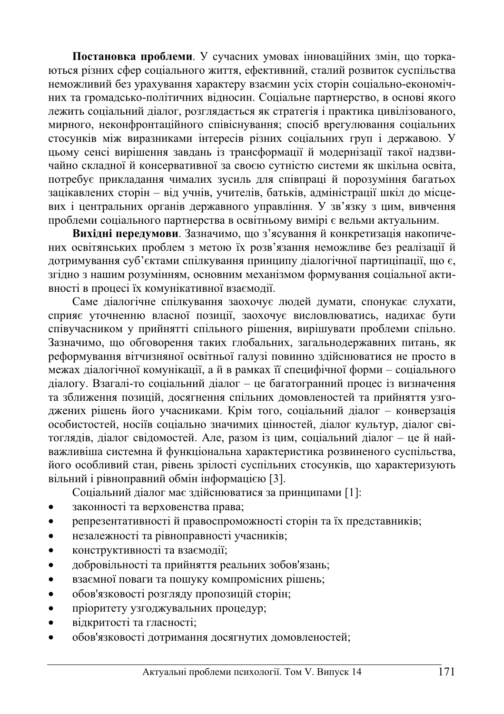Постановка проблеми. У сучасних умовах інноваційних змін, що торкаються різних сфер соціального життя, ефективний, сталий розвиток суспільства неможливий без урахування характеру взаємин усіх сторін соціально-економічних та громадсько-політичних відносин. Соціальне партнерство, в основі якого лежить соціальний діалог, розглядається як стратегія і практика цивілізованого, мирного, неконфронтаційного співіснування; спосіб врегулювання соціальних стосунків між виразниками інтересів різних соціальних груп і державою. У цьому сенсі вирішення завдань із трансформації й модернізації такої надзвичайно складної й консервативної за своєю сутністю системи як шкільна освіта, потребує прикладання чималих зусиль для співпраці й порозуміння багатьох зацікавлених сторін – від учнів, учителів, батьків, адміністрації шкіл до місцевих і центральних органів державного управління. У зв'язку з цим, вивчення проблеми соціального партнерства в освітньому вимірі є вельми актуальним.

Вихідні передумови. Зазначимо, що з'ясування й конкретизація накопичених освітянських проблем з метою їх розв'язання неможливе без реалізації й дотримування суб'єктами спілкування принципу діалогічної партиціпації, що є, згідно з нашим розумінням, основним механізмом формування соціальної активності в процесі їх комунікативної взаємодії.

Саме діалогічне спілкування заохочує людей думати, спонукає слухати, сприяє уточненню власної позиції, заохочує висловлюватись, налихає бути співучасником у прийнятті спільного рішення, вирішувати проблеми спільно. Зазначимо, що обговорення таких глобальних, загальнодержавних питань, як реформування вітчизняної освітньої галузі повинно здійснюватися не просто в межах діалогічної комунікації, а й в рамках її специфічної форми – соціального діалогу. Взагалі-то соціальний діалог – це багатогранний процес із визначення та зближення позицій, досягнення спільних домовленостей та прийняття узгоджених рішень його учасниками. Крім того, соціальний діалог – конверзація особистостей, носіїв соціально значимих цінностей, діалог культур, діалог світоглядів, діалог свідомостей. Але, разом із цим, соціальний діалог - це й найважливіша системна й функціональна характеристика розвиненого суспільства, його особливий стан, рівень зрілості суспільних стосунків, що характеризують вільний і рівноправний обмін інформацією [3].

Соціальний діалог має здійснюватися за принципами [1]:

- законності та верховенства права;
- репрезентативності й правоспроможності сторін та їх представників;
- незалежності та рівноправності учасників;
- конструктивності та взаємодії;
- добровільності та прийняття реальних зобов'язань;
- взаємної поваги та пошуку компромісних рішень;
- обов'язковості розгляду пропозицій сторін;
- пріоритету узгоджувальних процедур;
- відкритості та гласності;
- обов'язковості дотримання досягнутих домовленостей;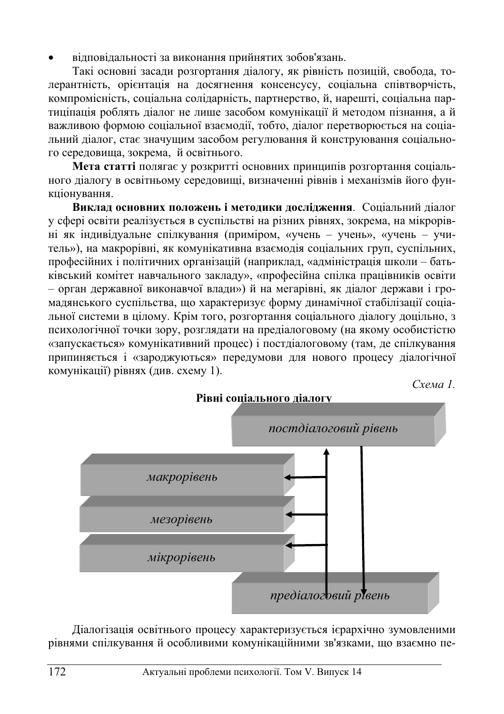відповідальності за виконання прийнятих зобов'язань.

Такі основні засади розгортання діалогу, як рівність позицій, свобода, толерантність, орієнтація на досягнення консенсусу, соціальна співтворчість, компромісність, соціальна солідарність, партнерство, й, нарешті, соціальна партиціпація роблять діалог не лише засобом комунікації й методом пізнання, а й важливою формою соціальної взаємолії, тобто, ліалог перетворюється на соціальний діалог, стає значущим засобом регулювання й конструювання соціального середовища, зокрема, й освітнього.

**Мета статті** полягає у розкритті основних принципів розгортання соціального діалогу в освітньому середовищі, визначенні рівнів і механізмів його функціонування.

Виклад основних положень і методики дослідження. Соціальний діалог у сфері освіти реалізується в суспільстві на різних рівнях, зокрема, на мікрорівні як індивідуальне спілкування (приміром, «учень – учень», «учень – учитель»), на макрорівні, як комунікативна взаємодія соціальних груп, суспільних, професійних і політичних організацій (наприклад, «адміністрація школи – батьківський комітет навчального закладу», «професійна спілка працівників освіти  $-$  орган державної виконавчої влади») й на мегарівні, як діалог держави і громадянського суспільства, що характеризує форму динамічної стабілізації соціальної системи в цілому. Крім того, розгортання соціального діалогу доцільно, з психологічної точки зору, розглядати на предіалоговому (на якому особистістю «запускається» комунікативний процес) і постдіалоговому (там, де спілкування припиняється і «зароджуються» передумови для нового процесу діалогічної комунікації) рівнях (див. схему 1).

Схема 1.



Діалогізація освітнього процесу характеризується ієрархічно зумовленими рівнями спілкування й особливими комунікаційними зв'язками, що взаємно пе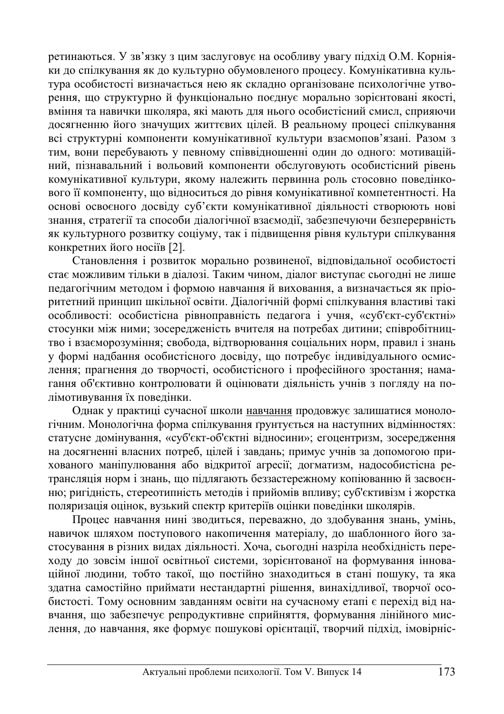ретинаються. У зв'язку з цим заслуговує на особливу увагу підхід О.М. Корніяки до спілкування як до культурно обумовленого процесу. Комунікативна культура особистості визначається нею як склално організоване психологічне утворення, що структурно й функціонально поєднує морально зорієнтовані якості, вміння та навички школяра, які мають для нього особистісний смисл, сприяючи досягненню його значущих життєвих цілей. В реальному процесі спілкування всі структурні компоненти комунікативної культури взаємопов'язані. Разом з тим, вони перебувають у певному співвідношенні один до одного: мотиваційний, пізнавальний і вольовий компоненти обслуговують особистісний рівень комунікативної культури, якому належить первинна роль стосовно поведінкового її компоненту, що відноситься до рівня комунікативної компетентності. На основі освоєного лосвілу суб'єкти комунікативної ліяльності створюють нові знання, стратегії та способи діалогічної взаємодії, забезпечуючи безперервність як культурного розвитку соціуму, так і підвищення рівня культури спілкування конкретних його носіїв [2].

Становлення і розвиток морально розвиненої, відповідальної особистості стає можливим тільки в діалозі. Таким чином, діалог виступає сьогодні не лише педагогічним методом і формою навчання й виховання, а визначається як пріоритетний принцип шкільної освіти. Діалогічній формі спілкування властиві такі • особливості: особистісна рівноправність пелагога і учня, «суб'єкт-суб'єктні» стосунки між ними; зосередженість вчителя на потребах дитини; співробітництво і взаєморозуміння; свобода, відтворювання соціальних норм, правил і знань у формі надбання особистісного досвіду, що потребує індивідуального осмис- $\overline{I}$ лення; прагнення до творчості, особистісного і професійного зростання; намагання об'єктивно контролювати й оцінювати діяльність учнів з погляду на полімотивування їх поведінки.

Однак у практиці сучасної школи навчання продовжує залишатися монологічним. Монологічна форма спілкування ґрунтується на наступних відмінностях: статусне домінування, «суб'єкт-об'єктні відносини»; егоцентризм, зосередження на досягненні власних потреб, цілей і завдань; примус учнів за допомогою прихованого маніпулювання або відкритої агресії; догматизм, надособистісна ретрансляція норм і знань, що підлягають беззастережному копіюванню й засвоєнню; ригідність, стереотипність методів і прийомів впливу; суб'єктивізм і жорстка поляризація оцінок, вузький спектр критеріїв оцінки поведінки школярів.

Процес навчання нині зводиться, переважно, до здобування знань, умінь, навичок шляхом поступового накопичення матеріалу, до шаблонного його застосування в різних видах діяльності. Хоча, сьогодні назріла необхідність переходу до зовсім іншої освітньої системи, зорієнтованої на формування інноваційної людини, тобто такої, що постійно знаходиться в стані пошуку, та яка здатна самостійно приймати нестандартні рішення, винахідливої, творчої особистості. Тому основним завданням освіти на сучасному етапі є перехід від навчання, що забезпечує репродуктивне сприйняття, формування лінійного мислення, до навчання, яке формує пошукові орієнтації, творчий підхід, імовірніс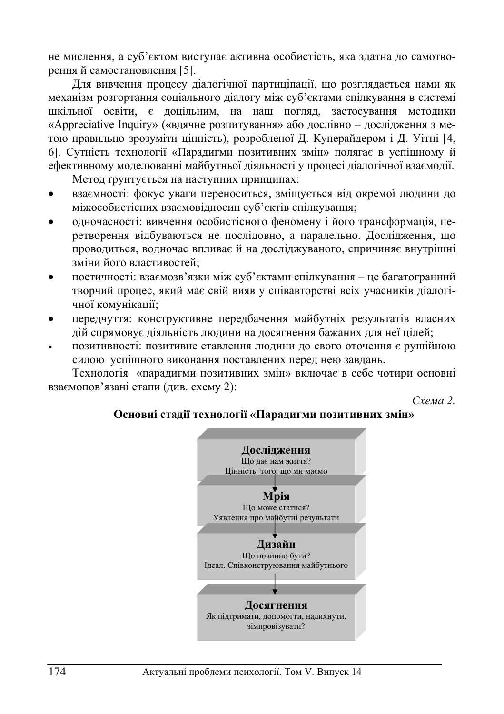не мислення, а суб'єктом виступає активна особистість, яка здатна до самотворенняй самостановлення [5].

Для вивчення процесу ліалогічної партиціпації, що розглялається нами як механізм розгортання соціального діалогу між суб'єктами спілкування в системі шкільної освіти, є доцільним, на наш погляд, застосування методики «Appreciative Inquiry» («вдячне розпитування» або дослівно – дослідження з метою правильно зрозуміти цінність), розробленої Д. Куперайдером і Д. Уітні [4, 6]. Сутність технології «Парадигми позитивних змін» полягає в успішному й ефективному моделюванні майбутньої діяльності у процесі діалогічної взаємодії.

Метод грунтується на наступних принципах:

- взаємності: фокус уваги переноситься, зміщується від окремої людини до міжособистісних взаємовідносин суб'єктів спілкування;
- одночасності: вивчення особистісного феномену і його трансформація, перетворення відбуваються не послідовно, а паралельно. Дослідження, що проводиться, водночас впливає й на досліджуваного, спричиняє внутрішні зміни його властивостей:
- поетичності: взаємозв'язки між суб'єктами спілкування це багатогранний творчий процес, який має свій вияв у співавторстві всіх учасників діалогічної комунікації;
- передчуття: конструктивне передбачення майбутніх результатів власних дій спрямовує діяльність людини на досягнення бажаних для неї цілей;
- позитивності: позитивне ставлення людини до свого оточення є рушійною силою успішного виконання поставлених перед нею завдань.

Технологія «парадигми позитивних змін» включає в себе чотири основні взаємопов'язані етапи (див. схему 2):

**Схема** 2.

### Основні стадії технології «Парадигми позитивних змін»

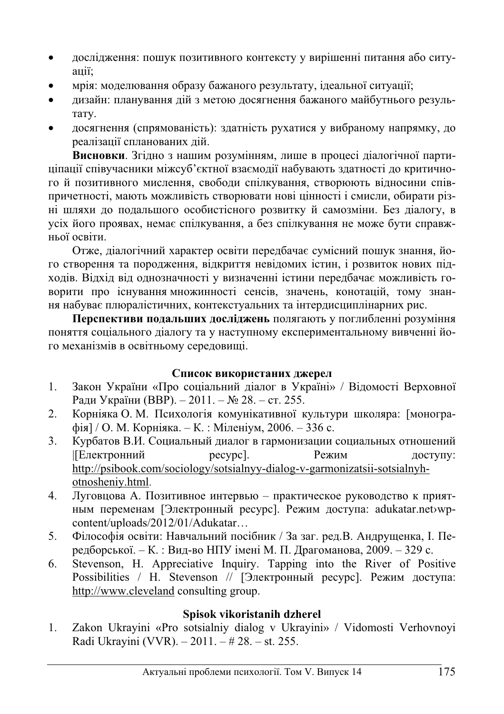- дослідження: пошук позитивного контексту у вирішенні питання або ситуamii:
- мрія: моделювання образу бажаного результату, ідеальної ситуації;
- ичайн: планування лійзметою лосягнення бажаного майбутнього результату.
- досягнення (спрямованість): здатність рухатися у вибраному напрямку, до реалізації спланованих дій.

Висновки. Згідно з нашим розумінням, лише в процесі діалогічної партиціпації співучасники міжсуб'єктної взаємодії набувають здатності до критичного й позитивного мислення, свободи спілкування, створюють відносини співпричетності, мають можливість створювати нові цінності і смисли, обирати різні шляхи до подальшого особистієного розвитку й самозміни. Без ліалогу, в усіх його проявах, немає спілкування, а без спілкування не може бути справжньої освіти.

Отже, діалогічний характер освіти передбачає сумісний пошук знання, його створення та породження, відкриття невідомих істин, і розвиток нових підходів. Відхід від однозначності у визначенні істини передбачає можливість говорити про існування множинності сенсів, значень, конотацій, тому знання набуває плюралістичних, контекстуальних та інтердисциплінарних рис.

Перспективи подальших досліджень полягають у поглибленні розуміння поняття соціального діалогу та у наступному експериментальному вивченні його механізмів в освітньому середовищі.

# Список використаних джерел

- 1. Закон України «Про соціальний діалог в Україні» / Відомості Верховної Ради України (ВВР). – 2011. – № 28. – ст. 255.
- 2. Корніяка О. М. Психологія комунікативної культури школяра: [монографія] / О. М. Корніяка. – К. : Міленіум, 2006. – 336 с.
- 3. Курбатов В.И. Социальный диалог в гармонизации социальных отношений |[Електронний ресурс]. Режим доступу: http://psibook.com/sociology/sotsialnyy-dialog-v-garmonizatsii-sotsialnyhotnosheniy.html.
- 4. Луговцова А. Позитивное интервью практическое руководство к приятным переменам [Электронный ресурс]. Режим доступа: adukatar.net>wpcontent/uploads/2012/01/Adukatar…
- 5. Філософія освіти: Навчальний посібник / За заг. ред.В. Андрущенка, І. Передборської. – К.: Вид-во НПУ імені М. П. Драгоманова, 2009. – 329 с.
- 6. Stevenson, H. Appreciative Inquiry. Tapping into the River of Positive Possibilities / Н. Stevenson // [Электронный ресурс]. Режим доступа: http://www.cleveland consulting group.

# **Spisok vikoristanih dzherel**

1. Zakon Ukrayini «Pro sotsialniy dialog v Ukrayini» / Vidomosti Verhovnoyi Radi Ukrayini (VVR). – 2011. – # 28. – st. 255.